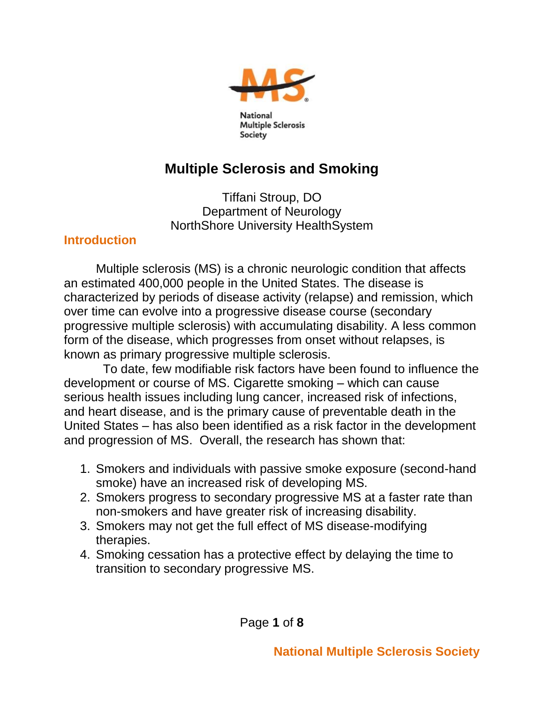

**National Multiple Sclerosis** Society

# **Multiple Sclerosis and Smoking**

Tiffani Stroup, DO Department of Neurology NorthShore University HealthSystem

### **Introduction**

Multiple sclerosis (MS) is a chronic neurologic condition that affects an estimated 400,000 people in the United States. The disease is characterized by periods of disease activity (relapse) and remission, which over time can evolve into a progressive disease course (secondary progressive multiple sclerosis) with accumulating disability. A less common form of the disease, which progresses from onset without relapses, is known as primary progressive multiple sclerosis.

 To date, few modifiable risk factors have been found to influence the development or course of MS. Cigarette smoking – which can cause serious health issues including lung cancer, increased risk of infections, and heart disease, and is the primary cause of preventable death in the United States – has also been identified as a risk factor in the development and progression of MS. Overall, the research has shown that:

- 1. Smokers and individuals with passive smoke exposure (second-hand smoke) have an increased risk of developing MS.
- 2. Smokers progress to secondary progressive MS at a faster rate than non-smokers and have greater risk of increasing disability.
- 3. Smokers may not get the full effect of MS disease-modifying therapies.
- 4. Smoking cessation has a protective effect by delaying the time to transition to secondary progressive MS.

Page **1** of **8**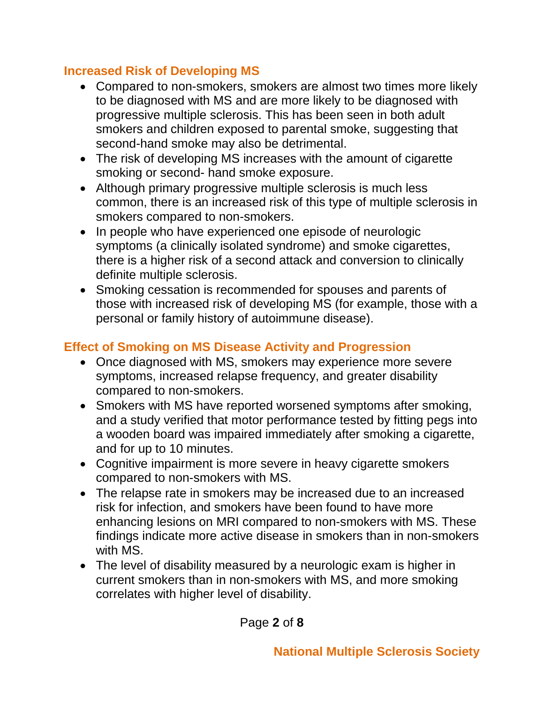## **Increased Risk of Developing MS**

- Compared to non-smokers, smokers are almost two times more likely to be diagnosed with MS and are more likely to be diagnosed with progressive multiple sclerosis. This has been seen in both adult smokers and children exposed to parental smoke, suggesting that second-hand smoke may also be detrimental.
- The risk of developing MS increases with the amount of cigarette smoking or second- hand smoke exposure.
- Although primary progressive multiple sclerosis is much less common, there is an increased risk of this type of multiple sclerosis in smokers compared to non-smokers.
- In people who have experienced one episode of neurologic symptoms (a clinically isolated syndrome) and smoke cigarettes, there is a higher risk of a second attack and conversion to clinically definite multiple sclerosis.
- Smoking cessation is recommended for spouses and parents of those with increased risk of developing MS (for example, those with a personal or family history of autoimmune disease).

# **Effect of Smoking on MS Disease Activity and Progression**

- Once diagnosed with MS, smokers may experience more severe symptoms, increased relapse frequency, and greater disability compared to non-smokers.
- Smokers with MS have reported worsened symptoms after smoking, and a study verified that motor performance tested by fitting pegs into a wooden board was impaired immediately after smoking a cigarette, and for up to 10 minutes.
- Cognitive impairment is more severe in heavy cigarette smokers compared to non-smokers with MS.
- The relapse rate in smokers may be increased due to an increased risk for infection, and smokers have been found to have more enhancing lesions on MRI compared to non-smokers with MS. These findings indicate more active disease in smokers than in non-smokers with MS.
- The level of disability measured by a neurologic exam is higher in current smokers than in non-smokers with MS, and more smoking correlates with higher level of disability.

Page **2** of **8**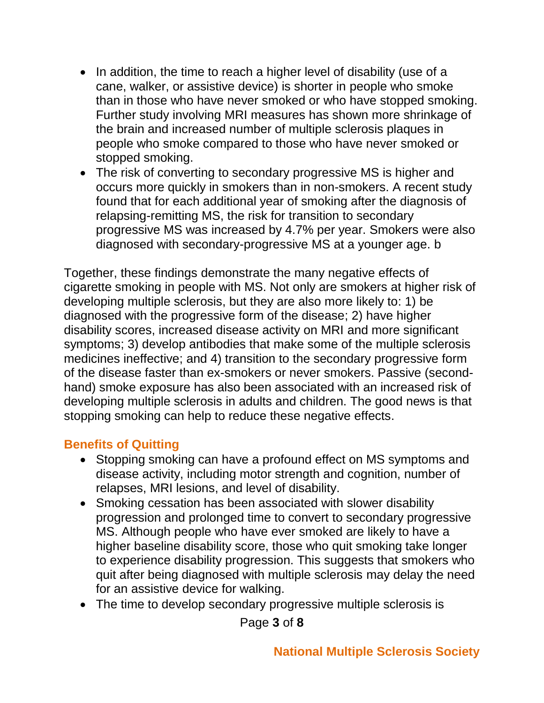- In addition, the time to reach a higher level of disability (use of a cane, walker, or assistive device) is shorter in people who smoke than in those who have never smoked or who have stopped smoking. Further study involving MRI measures has shown more shrinkage of the brain and increased number of multiple sclerosis plaques in people who smoke compared to those who have never smoked or stopped smoking.
- The risk of converting to secondary progressive MS is higher and occurs more quickly in smokers than in non-smokers. A recent study found that for each additional year of smoking after the diagnosis of relapsing-remitting MS, the risk for transition to secondary progressive MS was increased by 4.7% per year. Smokers were also diagnosed with secondary-progressive MS at a younger age. b

Together, these findings demonstrate the many negative effects of cigarette smoking in people with MS. Not only are smokers at higher risk of developing multiple sclerosis, but they are also more likely to: 1) be diagnosed with the progressive form of the disease; 2) have higher disability scores, increased disease activity on MRI and more significant symptoms; 3) develop antibodies that make some of the multiple sclerosis medicines ineffective; and 4) transition to the secondary progressive form of the disease faster than ex-smokers or never smokers. Passive (secondhand) smoke exposure has also been associated with an increased risk of developing multiple sclerosis in adults and children. The good news is that stopping smoking can help to reduce these negative effects.

### **Benefits of Quitting**

- Stopping smoking can have a profound effect on MS symptoms and disease activity, including motor strength and cognition, number of relapses, MRI lesions, and level of disability.
- Smoking cessation has been associated with slower disability progression and prolonged time to convert to secondary progressive MS. Although people who have ever smoked are likely to have a higher baseline disability score, those who quit smoking take longer to experience disability progression. This suggests that smokers who quit after being diagnosed with multiple sclerosis may delay the need for an assistive device for walking.
- The time to develop secondary progressive multiple sclerosis is

Page **3** of **8**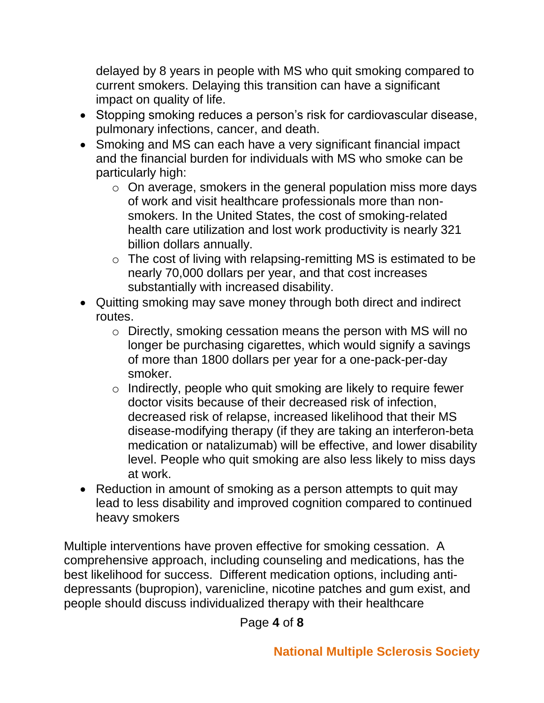delayed by 8 years in people with MS who quit smoking compared to current smokers. Delaying this transition can have a significant impact on quality of life.

- Stopping smoking reduces a person's risk for cardiovascular disease, pulmonary infections, cancer, and death.
- Smoking and MS can each have a very significant financial impact and the financial burden for individuals with MS who smoke can be particularly high:
	- o On average, smokers in the general population miss more days of work and visit healthcare professionals more than nonsmokers. In the United States, the cost of smoking-related health care utilization and lost work productivity is nearly 321 billion dollars annually.
	- o The cost of living with relapsing-remitting MS is estimated to be nearly 70,000 dollars per year, and that cost increases substantially with increased disability.
- Quitting smoking may save money through both direct and indirect routes.
	- o Directly, smoking cessation means the person with MS will no longer be purchasing cigarettes, which would signify a savings of more than 1800 dollars per year for a one-pack-per-day smoker.
	- o Indirectly, people who quit smoking are likely to require fewer doctor visits because of their decreased risk of infection, decreased risk of relapse, increased likelihood that their MS disease-modifying therapy (if they are taking an interferon-beta medication or natalizumab) will be effective, and lower disability level. People who quit smoking are also less likely to miss days at work.
- Reduction in amount of smoking as a person attempts to quit may lead to less disability and improved cognition compared to continued heavy smokers

Multiple interventions have proven effective for smoking cessation. A comprehensive approach, including counseling and medications, has the best likelihood for success. Different medication options, including antidepressants (bupropion), varenicline, nicotine patches and gum exist, and people should discuss individualized therapy with their healthcare

Page **4** of **8**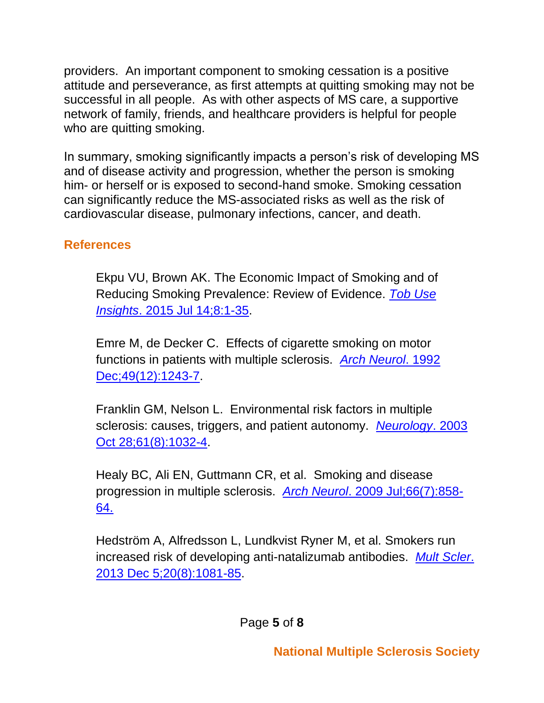providers. An important component to smoking cessation is a positive attitude and perseverance, as first attempts at quitting smoking may not be successful in all people. As with other aspects of MS care, a supportive network of family, friends, and healthcare providers is helpful for people who are quitting smoking.

In summary, smoking significantly impacts a person's risk of developing MS and of disease activity and progression, whether the person is smoking him- or herself or is exposed to second-hand smoke. Smoking cessation can significantly reduce the MS-associated risks as well as the risk of cardiovascular disease, pulmonary infections, cancer, and death.

## **References**

[Ekpu](http://www-ncbi-nlm-nih-gov.proxy.uchicago.edu/pubmed/?term=Ekpu%20VU%5BAuthor%5D&cauthor=true&cauthor_uid=26242225) VU, [Brown AK.](http://www-ncbi-nlm-nih-gov.proxy.uchicago.edu/pubmed/?term=Brown%20AK%5BAuthor%5D&cauthor=true&cauthor_uid=26242225) The Economic Impact of Smoking and of Reducing Smoking Prevalence: Review of Evidence. *[Tob Use](http://www.ncbi.nlm.nih.gov/pubmed/26242225)  Insights*[. 2015 Jul 14;8:1-35.](http://www.ncbi.nlm.nih.gov/pubmed/26242225)

[Emre M,](http://www-ncbi-nlm-nih-gov.proxy.uchicago.edu/pubmed/?term=Emre%20M%5BAuthor%5D&cauthor=true&cauthor_uid=1449402) [de Decker C.](http://www-ncbi-nlm-nih-gov.proxy.uchicago.edu/pubmed/?term=de%20Decker%20C%5BAuthor%5D&cauthor=true&cauthor_uid=1449402) Effects of cigarette smoking on motor functions in patients with multiple sclerosis. *[Arch Neurol](http://www.ncbi.nlm.nih.gov/pubmed/1449402)*. 1992 [Dec;49\(12\):1243-7.](http://www.ncbi.nlm.nih.gov/pubmed/1449402)

[Franklin GM,](http://www-ncbi-nlm-nih-gov.proxy.uchicago.edu/pubmed/?term=Franklin%20GM%5BAuthor%5D&cauthor=true&cauthor_uid=14581658) [Nelson L.](http://www-ncbi-nlm-nih-gov.proxy.uchicago.edu/pubmed/?term=Nelson%20L%5BAuthor%5D&cauthor=true&cauthor_uid=14581658) Environmental risk factors in multiple sclerosis: causes, triggers, and patient autonomy. *[Neurology](http://www.ncbi.nlm.nih.gov/pubmed/14581658)*. 2003 [Oct 28;61\(8\):1032-4.](http://www.ncbi.nlm.nih.gov/pubmed/14581658)

[Healy BC,](http://www-ncbi-nlm-nih-gov.proxy.uchicago.edu/pubmed/?term=Healy%20BC%5BAuthor%5D&cauthor=true&cauthor_uid=19597087) [Ali EN,](http://www-ncbi-nlm-nih-gov.proxy.uchicago.edu/pubmed/?term=Ali%20EN%5BAuthor%5D&cauthor=true&cauthor_uid=19597087) [Guttmann CR,](http://www-ncbi-nlm-nih-gov.proxy.uchicago.edu/pubmed/?term=Guttmann%20CR%5BAuthor%5D&cauthor=true&cauthor_uid=19597087) et al. Smoking and disease progression in multiple sclerosis. *Arch Neurol*[. 2009 Jul;66\(7\):858-](http://www.ncbi.nlm.nih.gov/pubmed/19597087) [64.](http://www.ncbi.nlm.nih.gov/pubmed/19597087) 

[Hedström A,](http://www-ncbi-nlm-nih-gov.proxy.uchicago.edu/pubmed/?term=Hedstr%C3%B6m%20A%5BAuthor%5D&cauthor=true&cauthor_uid=24311118) [Alfredsson L,](http://www-ncbi-nlm-nih-gov.proxy.uchicago.edu/pubmed/?term=Alfredsson%20L%5BAuthor%5D&cauthor=true&cauthor_uid=24311118) [Lundkvist Ryner M,](http://www-ncbi-nlm-nih-gov.proxy.uchicago.edu/pubmed/?term=Lundkvist%20Ryner%20M%5BAuthor%5D&cauthor=true&cauthor_uid=24311118) et al. Smokers run increased risk of developing anti-natalizumab antibodies. *[Mult Scler](http://www.ncbi.nlm.nih.gov/pubmed/24311118)*. [2013 Dec 5;20\(8\):1081-85.](http://www.ncbi.nlm.nih.gov/pubmed/24311118)

Page **5** of **8**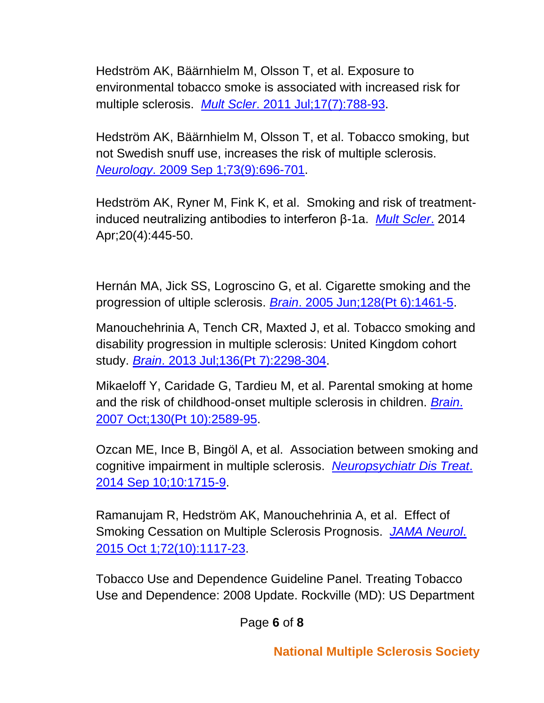[Hedström AK,](http://www-ncbi-nlm-nih-gov.proxy.uchicago.edu/pubmed/?term=Hedstr%C3%B6m%20AK%5BAuthor%5D&cauthor=true&cauthor_uid=21372120) [Bäärnhielm M,](http://www-ncbi-nlm-nih-gov.proxy.uchicago.edu/pubmed/?term=B%C3%A4%C3%A4rnhielm%20M%5BAuthor%5D&cauthor=true&cauthor_uid=21372120) [Olsson T,](http://www-ncbi-nlm-nih-gov.proxy.uchicago.edu/pubmed/?term=Olsson%20T%5BAuthor%5D&cauthor=true&cauthor_uid=21372120) et al. Exposure to environmental tobacco smoke is associated with increased risk for multiple sclerosis. *Mult Scler*[. 2011 Jul;17\(7\):788-93.](http://www.ncbi.nlm.nih.gov/pubmed/21372120)

[Hedström AK,](http://www-ncbi-nlm-nih-gov.proxy.uchicago.edu/pubmed/?term=Hedstr%C3%B6m%20AK%5BAuthor%5D&cauthor=true&cauthor_uid=19720976) [Bäärnhielm M,](http://www-ncbi-nlm-nih-gov.proxy.uchicago.edu/pubmed/?term=B%C3%A4%C3%A4rnhielm%20M%5BAuthor%5D&cauthor=true&cauthor_uid=19720976) [Olsson T,](http://www-ncbi-nlm-nih-gov.proxy.uchicago.edu/pubmed/?term=Olsson%20T%5BAuthor%5D&cauthor=true&cauthor_uid=19720976) et al. Tobacco smoking, but not Swedish snuff use, increases the risk of multiple sclerosis. *Neurology*[. 2009 Sep 1;73\(9\):696-701.](http://www.ncbi.nlm.nih.gov/pubmed/19720976)

Hedström AK, Ryner M, Fink K, et al. Smoking and risk of treatmentinduced neutralizing antibodies to interferon β-1a. *[Mult Scler](http://www-ncbi-nlm-nih-gov.proxy.uchicago.edu/pubmed/?term=23924603)*. 2014 Apr;20(4):445-50.

[Hernán MA,](http://www-ncbi-nlm-nih-gov.proxy.uchicago.edu/pubmed/?term=Hern%C3%A1n%20MA%5BAuthor%5D&cauthor=true&cauthor_uid=15758034) [Jick SS,](http://www-ncbi-nlm-nih-gov.proxy.uchicago.edu/pubmed/?term=Jick%20SS%5BAuthor%5D&cauthor=true&cauthor_uid=15758034) [Logroscino G,](http://www-ncbi-nlm-nih-gov.proxy.uchicago.edu/pubmed/?term=Logroscino%20G%5BAuthor%5D&cauthor=true&cauthor_uid=15758034) et al. Cigarette smoking and the progression of ultiple sclerosis. *Brain*[. 2005 Jun;128\(Pt 6\):1461-5.](http://www.ncbi.nlm.nih.gov/pubmed/15758034)

Manouchehrinia A, Tench CR, Maxted J, et al. Tobacco smoking and disability progression in multiple sclerosis: United Kingdom cohort study. *Brain*. [2013 Jul;136\(Pt 7\):2298-304.](http://www.ncbi.nlm.nih.gov/pubmed/23757766)

[Mikaeloff Y,](http://www-ncbi-nlm-nih-gov.proxy.uchicago.edu/pubmed/?term=Mikaeloff%20Y%5BAuthor%5D&cauthor=true&cauthor_uid=17827175) [Caridade G,](http://www-ncbi-nlm-nih-gov.proxy.uchicago.edu/pubmed/?term=Caridade%20G%5BAuthor%5D&cauthor=true&cauthor_uid=17827175) [Tardieu M,](http://www-ncbi-nlm-nih-gov.proxy.uchicago.edu/pubmed/?term=Tardieu%20M%5BAuthor%5D&cauthor=true&cauthor_uid=17827175) et al. Parental smoking at home and the risk of childhood-onset multiple sclerosis in children. *[Brain](http://www.ncbi.nlm.nih.gov/pubmed/17827175)*. [2007 Oct;130\(Pt 10\):2589-95.](http://www.ncbi.nlm.nih.gov/pubmed/17827175)

[Ozcan ME,](http://www-ncbi-nlm-nih-gov.proxy.uchicago.edu/pubmed/?term=Ozcan%20ME%5BAuthor%5D&cauthor=true&cauthor_uid=25246792) [Ince B,](http://www-ncbi-nlm-nih-gov.proxy.uchicago.edu/pubmed/?term=Ince%20B%5BAuthor%5D&cauthor=true&cauthor_uid=25246792) [Bingöl A,](http://www-ncbi-nlm-nih-gov.proxy.uchicago.edu/pubmed/?term=Bing%C3%B6l%20A%5BAuthor%5D&cauthor=true&cauthor_uid=25246792) et al. Association between smoking and cognitive impairment in multiple sclerosis. *[Neuropsychiatr Dis Treat](http://www.ncbi.nlm.nih.gov/pubmed/25246792)*. [2014 Sep 10;10:1715-9.](http://www.ncbi.nlm.nih.gov/pubmed/25246792)

[Ramanujam R,](http://www-ncbi-nlm-nih-gov.proxy.uchicago.edu/pubmed/?term=Ramanujam%20R%5BAuthor%5D&cauthor=true&cauthor_uid=26348720) [Hedström AK,](http://www-ncbi-nlm-nih-gov.proxy.uchicago.edu/pubmed/?term=Hedstr%C3%B6m%20AK%5BAuthor%5D&cauthor=true&cauthor_uid=26348720) [Manouchehrinia A,](http://www-ncbi-nlm-nih-gov.proxy.uchicago.edu/pubmed/?term=Manouchehrinia%20A%5BAuthor%5D&cauthor=true&cauthor_uid=26348720) et al. Effect of Smoking Cessation on Multiple Sclerosis Prognosis. *[JAMA Neurol](file:///C:/Users/Kathleen.Costello/AppData/Local/Microsoft/Windows/Temporary%20Internet%20Files/Content.Outlook/NDDZ47T0/JAMA%20Neurol.%202015%20Oct;72(10):1117-23)*. [2015 Oct 1;72\(10\):1117-23.](file:///C:/Users/Kathleen.Costello/AppData/Local/Microsoft/Windows/Temporary%20Internet%20Files/Content.Outlook/NDDZ47T0/JAMA%20Neurol.%202015%20Oct;72(10):1117-23)

Tobacco Use and Dependence Guideline Panel. Treating Tobacco Use and Dependence: 2008 Update. Rockville (MD): US Department

Page **6** of **8**

**National Multiple Sclerosis Society**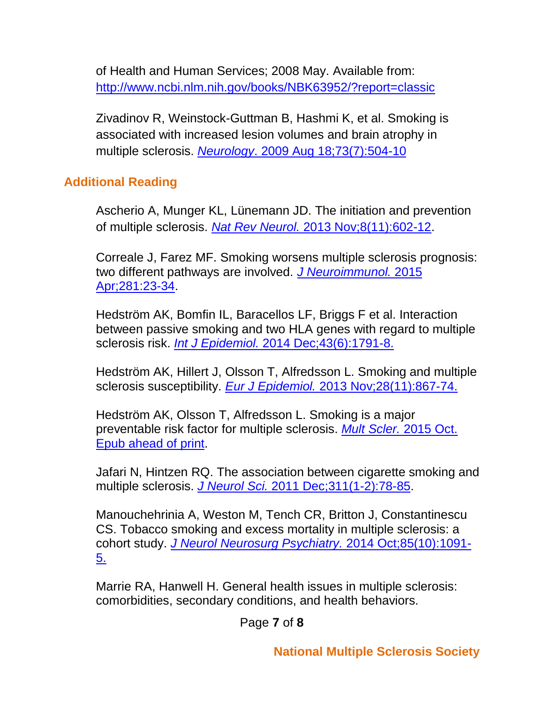of Health and Human Services; 2008 May. Available from: <http://www.ncbi.nlm.nih.gov/books/NBK63952/?report=classic>

[Zivadinov R,](http://www-ncbi-nlm-nih-gov.proxy.uchicago.edu/pubmed/?term=Zivadinov%20R%5BAuthor%5D&cauthor=true&cauthor_uid=19687451) [Weinstock-Guttman B,](http://www-ncbi-nlm-nih-gov.proxy.uchicago.edu/pubmed/?term=Weinstock-Guttman%20B%5BAuthor%5D&cauthor=true&cauthor_uid=19687451) [Hashmi K,](http://www-ncbi-nlm-nih-gov.proxy.uchicago.edu/pubmed/?term=Hashmi%20K%5BAuthor%5D&cauthor=true&cauthor_uid=19687451) et al. Smoking is associated with increased lesion volumes and brain atrophy in multiple sclerosis. *Neurology*[. 2009 Aug 18;73\(7\):504-10](http://www.ncbi.nlm.nih.gov/pubmed/19687451)

## **Additional Reading**

Ascherio A, Munger KL, Lünemann JD. The initiation and prevention of multiple sclerosis. *Nat Rev Neurol.* [2013 Nov;8\(11\):602-12.](http://www.ncbi.nlm.nih.gov/pubmed/23045241)

Correale J, Farez MF. Smoking worsens multiple sclerosis prognosis: two different pathways are involved. *[J Neuroimmunol.](http://www.ncbi.nlm.nih.gov/pubmed/25867464)* 2015 [Apr;281:23-34.](http://www.ncbi.nlm.nih.gov/pubmed/25867464)

Hedström AK, Bomfin IL, Baracellos LF, Briggs F et al. Interaction between passive smoking and two HLA genes with regard to multiple sclerosis risk. *Int J Epidemiol.* [2014 Dec;43\(6\):1791-8.](http://www.ncbi.nlm.nih.gov/pubmed/25324153)

Hedström AK, Hillert J, Olsson T, Alfredsson L. Smoking and multiple sclerosis susceptibility. *Eur J Epidemiol.* [2013 Nov;28\(11\):867-74.](http://www.ncbi.nlm.nih.gov/pubmed/24146047)

Hedström AK, Olsson T, Alfredsson L. Smoking is a major preventable risk factor for multiple sclerosis. *[Mult Scler.](http://www.ncbi.nlm.nih.gov/pubmed/26459151)* 2015 Oct. [Epub ahead of print.](http://www.ncbi.nlm.nih.gov/pubmed/26459151)

Jafari N, Hintzen RQ. The association between cigarette smoking and multiple sclerosis. *J Neurol Sci.* [2011 Dec;311\(1-2\):78-85.](http://www.ncbi.nlm.nih.gov/pubmed/21975015)

Manouchehrinia A, Weston M, Tench CR, Britton J, Constantinescu CS. Tobacco smoking and excess mortality in multiple sclerosis: a cohort study. *[J Neurol Neurosurg Psychiatry.](http://www.ncbi.nlm.nih.gov/pubmed/24569687)* 2014 Oct;85(10):1091- [5.](http://www.ncbi.nlm.nih.gov/pubmed/24569687)

Marrie RA, Hanwell H. General health issues in multiple sclerosis: comorbidities, secondary conditions, and health behaviors.

Page **7** of **8**